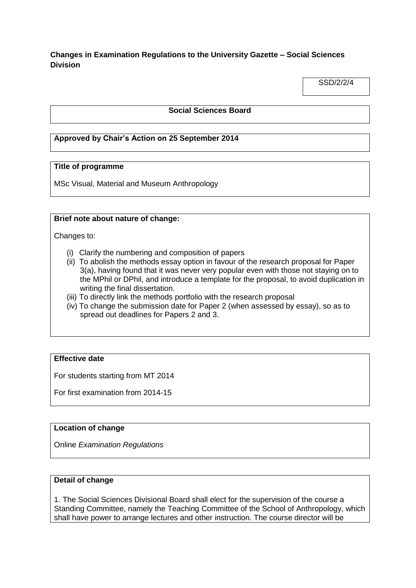# **Changes in Examination Regulations to the University Gazette – Social Sciences Division**

SSD/2/2/4

### **Social Sciences Board**

### **Approved by Chair's Action on 25 September 2014**

### **Title of programme**

MSc Visual, Material and Museum Anthropology

### **Brief note about nature of change:**

Changes to:

- (i) Clarify the numbering and composition of papers
- (ii) To abolish the methods essay option in favour of the research proposal for Paper 3(a), having found that it was never very popular even with those not staying on to the MPhil or DPhil, and introduce a template for the proposal, to avoid duplication in writing the final dissertation.
- (iii) To directly link the methods portfolio with the research proposal
- (iv) To change the submission date for Paper 2 (when assessed by essay), so as to spread out deadlines for Papers 2 and 3.

### **Effective date**

For students starting from MT 2014

For first examination from 2014-15

#### **Location of change**

Online *Examination Regulations*

### **Detail of change**

1. The Social Sciences Divisional Board shall elect for the supervision of the course a Standing Committee, namely the Teaching Committee of the School of Anthropology, which shall have power to arrange lectures and other instruction. The course director will be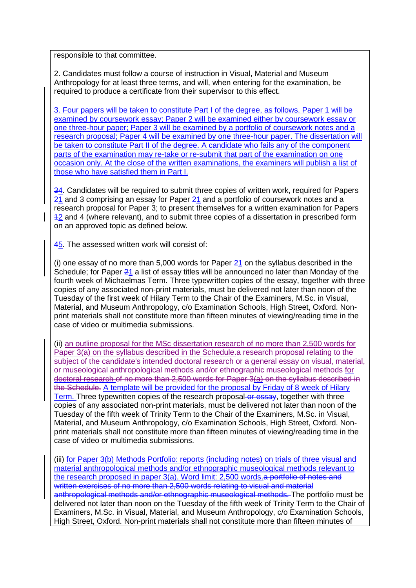responsible to that committee.

2. Candidates must follow a course of instruction in Visual, Material and Museum Anthropology for at least three terms, and will, when entering for the examination, be required to produce a certificate from their supervisor to this effect.

3. Four papers will be taken to constitute Part I of the degree, as follows. Paper 1 will be examined by coursework essay; Paper 2 will be examined either by coursework essay or one three-hour paper; Paper 3 will be examined by a portfolio of coursework notes and a research proposal; Paper 4 will be examined by one three-hour paper. The dissertation will be taken to constitute Part II of the degree. A candidate who fails any of the component parts of the examination may re-take or re-submit that part of the examination on one occasion only. At the close of the written examinations, the examiners will publish a list of those who have satisfied them in Part I.

34. Candidates will be required to submit three copies of written work, required for Papers 21 and 3 comprising an essay for Paper 21 and a portfolio of coursework notes and a research proposal for Paper 3; to present themselves for a written examination for Papers 12 and 4 (where relevant), and to submit three copies of a dissertation in prescribed form on an approved topic as defined below.

45. The assessed written work will consist of:

(i) one essay of no more than 5,000 words for Paper  $21$  on the syllabus described in the Schedule; for Paper 21 a list of essay titles will be announced no later than Monday of the fourth week of Michaelmas Term. Three typewritten copies of the essay, together with three copies of any associated non-print materials, must be delivered not later than noon of the Tuesday of the first week of Hilary Term to the Chair of the Examiners, M.Sc. in Visual, Material, and Museum Anthropology, c/o Examination Schools, High Street, Oxford. Nonprint materials shall not constitute more than fifteen minutes of viewing/reading time in the case of video or multimedia submissions.

(ii) an outline proposal for the MSc dissertation research of no more than 2,500 words for Paper 3(a) on the syllabus described in the Schedule. a research proposal relating to the subject of the candidate's intended doctoral research or a general essay on visual, material, or museological anthropological methods and/or ethnographic museological methods for doctoral research of no more than 2,500 words for Paper 3(a) on the syllabus described in the Schedule. A template will be provided for the proposal by Friday of 8 week of Hilary Term. Three typewritten copies of the research proposal or essay, together with three copies of any associated non-print materials, must be delivered not later than noon of the Tuesday of the fifth week of Trinity Term to the Chair of the Examiners, M.Sc. in Visual, Material, and Museum Anthropology, c/o Examination Schools, High Street, Oxford. Nonprint materials shall not constitute more than fifteen minutes of viewing/reading time in the case of video or multimedia submissions.

(iii) for Paper 3(b) Methods Portfolio: reports (including notes) on trials of three visual and material anthropological methods and/or ethnographic museological methods relevant to the research proposed in paper 3(a). Word limit: 2,500 words.a portfolio of notes and written exercises of no more than 2,500 words relating to visual and material anthropological methods and/or ethnographic museological methods. The portfolio must be delivered not later than noon on the Tuesday of the fifth week of Trinity Term to the Chair of Examiners, M.Sc. in Visual, Material, and Museum Anthropology, c/o Examination Schools, High Street, Oxford. Non-print materials shall not constitute more than fifteen minutes of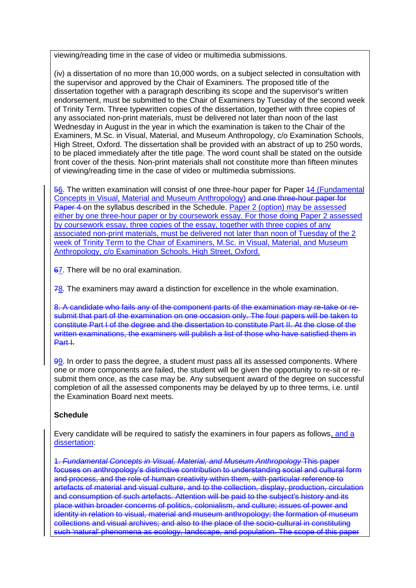viewing/reading time in the case of video or multimedia submissions.

(iv) a dissertation of no more than 10,000 words, on a subject selected in consultation with the supervisor and approved by the Chair of Examiners. The proposed title of the dissertation together with a paragraph describing its scope and the supervisor's written endorsement, must be submitted to the Chair of Examiners by Tuesday of the second week of Trinity Term. Three typewritten copies of the dissertation, together with three copies of any associated non-print materials, must be delivered not later than noon of the last Wednesday in August in the year in which the examination is taken to the Chair of the Examiners, M.Sc. in Visual, Material, and Museum Anthropology, c/o Examination Schools, High Street, Oxford. The dissertation shall be provided with an abstract of up to 250 words, to be placed immediately after the title page. The word count shall be stated on the outside front cover of the thesis. Non-print materials shall not constitute more than fifteen minutes of viewing/reading time in the case of video or multimedia submissions.

56. The written examination will consist of one three-hour paper for Paper 14 (Fundamental Concepts in Visual, Material and Museum Anthropology) and one three-hour paper for Paper 4 on the syllabus described in the Schedule. Paper 2 (option) may be assessed either by one three-hour paper or by coursework essay. For those doing Paper 2 assessed by coursework essay, three copies of the essay, together with three copies of any associated non-print materials, must be delivered not later than noon of Tuesday of the 2 week of Trinity Term to the Chair of Examiners, M.Sc. in Visual, Material, and Museum Anthropology, c/o Examination Schools, High Street, Oxford.

67. There will be no oral examination.

78. The examiners may award a distinction for excellence in the whole examination.

8. A candidate who fails any of the component parts of the examination may re-take or resubmit that part of the examination on one occasion only. The four papers will be taken to constitute Part I of the degree and the dissertation to constitute Part II. At the close of the written examinations, the examiners will publish a list of those who have satisfied them in Part L

99. In order to pass the degree, a student must pass all its assessed components. Where one or more components are failed, the student will be given the opportunity to re-sit or resubmit them once, as the case may be. Any subsequent award of the degree on successful completion of all the assessed components may be delayed by up to three terms, i.e. until the Examination Board next meets.

# **Schedule**

Every candidate will be required to satisfy the examiners in four papers as follows, and a dissertation:

1. *Fundamental Concepts in Visual, Material, and Museum Anthropology* This paper focuses on anthropology's distinctive contribution to understanding social and cultural form and process, and the role of human creativity within them, with particular reference to artefacts of material and visual culture, and to the collection, display, production, circulation and consumption of such artefacts. Attention will be paid to the subject's history and its place within broader concerns of politics, colonialism, and culture; issues of power and identity in relation to visual, material and museum anthropology; the formation of museum collections and visual archives; and also to the place of the socio-cultural in constituting such 'natural' phenomena as ecology, landscape, and population. The scope of this paper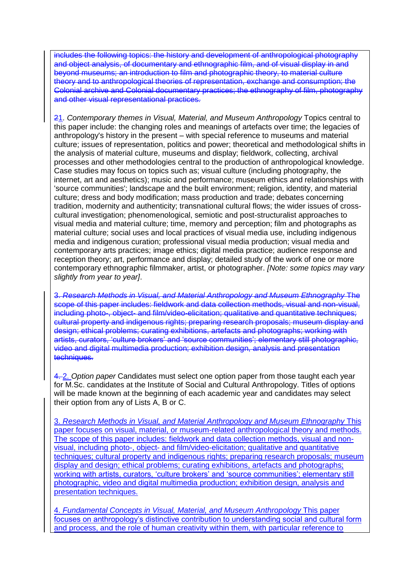includes the following topics: the history and development of anthropological photography and object analysis, of documentary and ethnographic film, and of visual display in and beyond museums; an introduction to film and photographic theory, to material culture theory and to anthropological theories of representation, exchange and consumption; the Colonial archive and Colonial documentary practices; the ethnography of film, photography and other visual representational practices.

21. *Contemporary themes in Visual, Material, and Museum Anthropology* Topics central to this paper include: the changing roles and meanings of artefacts over time; the legacies of anthropology's history in the present – with special reference to museums and material culture; issues of representation, politics and power; theoretical and methodological shifts in the analysis of material culture, museums and display; fieldwork, collecting, archival processes and other methodologies central to the production of anthropological knowledge. Case studies may focus on topics such as; visual culture (including photography, the internet, art and aesthetics); music and performance; museum ethics and relationships with 'source communities'; landscape and the built environment; religion, identity, and material culture; dress and body modification; mass production and trade; debates concerning tradition, modernity and authenticity; transnational cultural flows; the wider issues of crosscultural investigation; phenomenological, semiotic and post-structuralist approaches to visual media and material culture; time, memory and perception; film and photographs as material culture; social uses and local practices of visual media use, including indigenous media and indigenous curation; professional visual media production; visual media and contemporary arts practices; image ethics; digital media practice; audience response and reception theory; art, performance and display; detailed study of the work of one or more contemporary ethnographic filmmaker, artist, or photographer. *[Note: some topics may vary slightly from year to year]*.

3. *Research Methods in Visual, and Material Anthropology and Museum Ethnography* The scope of this paper includes: fieldwork and data collection methods, visual and non-visual, including photo-, object- and film/video-elicitation; qualitative and quantitative techniques; cultural property and indigenous rights; preparing research proposals; museum display and design; ethical problems; curating exhibitions, artefacts and photographs; working with artists, curators, 'culture brokers' and 'source communities'; elementary still photographic, video and digital multimedia production; exhibition design, analysis and presentation techniques.

4. 2. *Option paper* Candidates must select one option paper from those taught each year for M.Sc. candidates at the Institute of Social and Cultural Anthropology. Titles of options will be made known at the beginning of each academic year and candidates may select their option from any of Lists A, B or C.

3. *Research Methods in Visual, and Material Anthropology and Museum Ethnography* This paper focuses on visual, material, or museum-related anthropological theory and methods. The scope of this paper includes: fieldwork and data collection methods, visual and nonvisual, including photo-, object- and film/video-elicitation; qualitative and quantitative techniques; cultural property and indigenous rights; preparing research proposals; museum display and design; ethical problems; curating exhibitions, artefacts and photographs; working with artists, curators, 'culture brokers' and 'source communities'; elementary still photographic, video and digital multimedia production; exhibition design, analysis and presentation techniques.

4. *Fundamental Concepts in Visual, Material, and Museum Anthropology* This paper focuses on anthropology's distinctive contribution to understanding social and cultural form and process, and the role of human creativity within them, with particular reference to